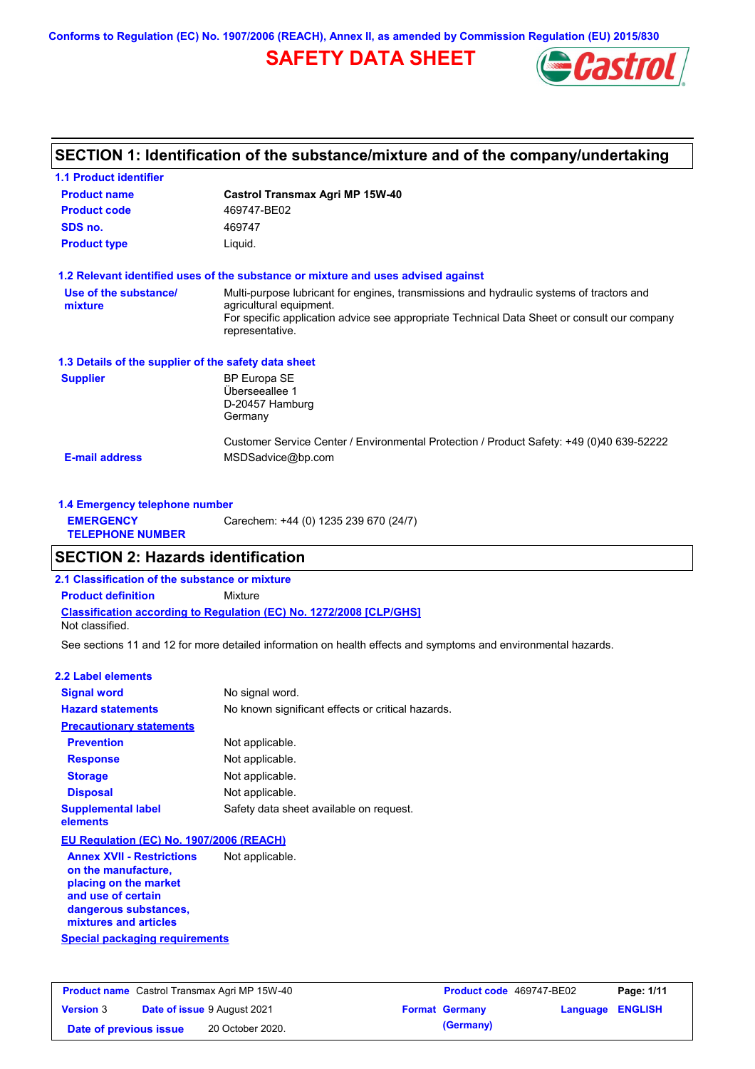**Conforms to Regulation (EC) No. 1907/2006 (REACH), Annex II, as amended by Commission Regulation (EU) 2015/830**

# **SAFETY DATA SHEET**



### **SECTION 1: Identification of the substance/mixture and of the company/undertaking**

| <b>1.1 Product identifier</b>                        |                                                                                                                     |
|------------------------------------------------------|---------------------------------------------------------------------------------------------------------------------|
| <b>Product name</b>                                  | Castrol Transmax Agri MP 15W-40                                                                                     |
| <b>Product code</b>                                  | 469747-BE02                                                                                                         |
| SDS no.                                              | 469747                                                                                                              |
| <b>Product type</b>                                  | Liquid.                                                                                                             |
|                                                      | 1.2 Relevant identified uses of the substance or mixture and uses advised against                                   |
| Use of the substance/<br>mixture                     | Multi-purpose lubricant for engines, transmissions and hydraulic systems of tractors and<br>agricultural equipment. |
|                                                      | For specific application advice see appropriate Technical Data Sheet or consult our company<br>representative.      |
| 1.3 Details of the supplier of the safety data sheet |                                                                                                                     |
| <b>Supplier</b>                                      | <b>BP Europa SE</b><br>Überseeallee 1<br>D-20457 Hamburg<br>Germany                                                 |
| <b>E-mail address</b>                                | Customer Service Center / Environmental Protection / Product Safety: +49 (0)40 639-52222<br>MSDSadvice@bp.com       |
|                                                      |                                                                                                                     |

| 1.4 Emergency telephone number              |                                       |
|---------------------------------------------|---------------------------------------|
| <b>EMERGENCY</b><br><b>TELEPHONE NUMBER</b> | Carechem: +44 (0) 1235 239 670 (24/7) |

### **SECTION 2: Hazards identification**

**2.1 Classification of the substance or mixture**

**Classification according to Regulation (EC) No. 1272/2008 [CLP/GHS] Product definition** Mixture

Not classified.

See sections 11 and 12 for more detailed information on health effects and symptoms and environmental hazards.

### **2.2 Label elements**

| <b>Signal word</b>                       | No signal word.                                   |
|------------------------------------------|---------------------------------------------------|
| <b>Hazard statements</b>                 | No known significant effects or critical hazards. |
| <b>Precautionary statements</b>          |                                                   |
| <b>Prevention</b>                        | Not applicable.                                   |
| <b>Response</b>                          | Not applicable.                                   |
| <b>Storage</b>                           | Not applicable.                                   |
| <b>Disposal</b>                          | Not applicable.                                   |
| <b>Supplemental label</b><br>elements    | Safety data sheet available on request.           |
| EU Regulation (EC) No. 1907/2006 (REACH) |                                                   |
| <b>Annex XVII - Restrictions</b>         | Not applicable.                                   |

**Special packaging requirements on the manufacture, placing on the market and use of certain dangerous substances, mixtures and articles**

| <b>Product name</b> Castrol Transmax Agri MP 15W-40 |  | <b>Product code</b> 469747-BE02    |  | Page: 1/11            |                         |  |
|-----------------------------------------------------|--|------------------------------------|--|-----------------------|-------------------------|--|
| <b>Version 3</b>                                    |  | <b>Date of issue 9 August 2021</b> |  | <b>Format Germany</b> | <b>Language ENGLISH</b> |  |
| Date of previous issue                              |  | 20 October 2020.                   |  | (Germany)             |                         |  |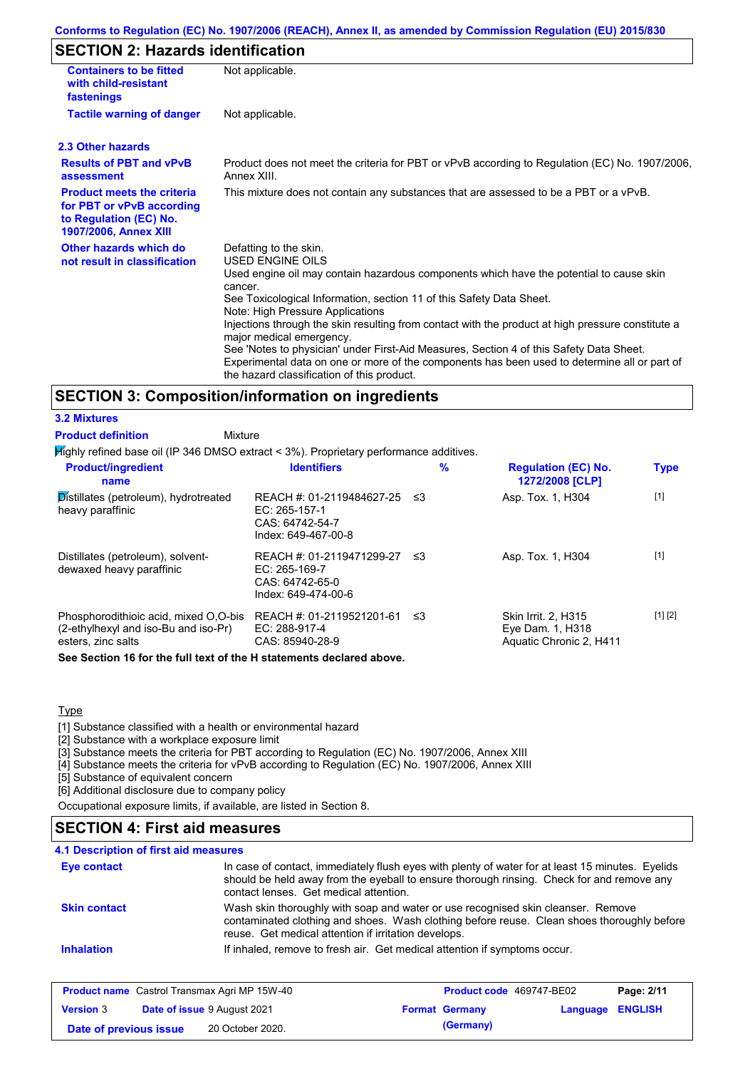### **Conforms to Regulation (EC) No. 1907/2006 (REACH), Annex II, as amended by Commission Regulation (EU) 2015/830**

## **SECTION 2: Hazards identification**

| <b>Containers to be fitted</b><br>with child-resistant<br>fastenings                                                     | Not applicable.                                                                                                                                                                                                                                                                                                                                                                                                                                                                                                                                                                                                                        |
|--------------------------------------------------------------------------------------------------------------------------|----------------------------------------------------------------------------------------------------------------------------------------------------------------------------------------------------------------------------------------------------------------------------------------------------------------------------------------------------------------------------------------------------------------------------------------------------------------------------------------------------------------------------------------------------------------------------------------------------------------------------------------|
| <b>Tactile warning of danger</b>                                                                                         | Not applicable.                                                                                                                                                                                                                                                                                                                                                                                                                                                                                                                                                                                                                        |
| 2.3 Other hazards                                                                                                        |                                                                                                                                                                                                                                                                                                                                                                                                                                                                                                                                                                                                                                        |
| <b>Results of PBT and vPvB</b><br>assessment                                                                             | Product does not meet the criteria for PBT or vPvB according to Regulation (EC) No. 1907/2006,<br>Annex XIII.                                                                                                                                                                                                                                                                                                                                                                                                                                                                                                                          |
| <b>Product meets the criteria</b><br>for PBT or vPvB according<br>to Regulation (EC) No.<br><b>1907/2006, Annex XIII</b> | This mixture does not contain any substances that are assessed to be a PBT or a vPvB.                                                                                                                                                                                                                                                                                                                                                                                                                                                                                                                                                  |
| Other hazards which do<br>not result in classification                                                                   | Defatting to the skin.<br>USED ENGINE OILS<br>Used engine oil may contain hazardous components which have the potential to cause skin<br>cancer.<br>See Toxicological Information, section 11 of this Safety Data Sheet.<br>Note: High Pressure Applications<br>Injections through the skin resulting from contact with the product at high pressure constitute a<br>major medical emergency.<br>See 'Notes to physician' under First-Aid Measures, Section 4 of this Safety Data Sheet.<br>Experimental data on one or more of the components has been used to determine all or part of<br>the hazard classification of this product. |

### **SECTION 3: Composition/information on ingredients**

#### **3.2 Mixtures**

**Product definition**

| Mixture |  |
|---------|--|

Highly refined base oil (IP 346 DMSO extract < 3%). Proprietary performance additives.

| <b>Product/ingredient</b><br>name                                                                   | <b>Identifiers</b>                                                                     | $\%$ | <b>Regulation (EC) No.</b><br>1272/2008 [CLP]                             | <b>Type</b> |
|-----------------------------------------------------------------------------------------------------|----------------------------------------------------------------------------------------|------|---------------------------------------------------------------------------|-------------|
| Distillates (petroleum), hydrotreated<br>heavy paraffinic                                           | REACH #: 01-2119484627-25<br>EC: 265-157-1<br>CAS: 64742-54-7<br>Index: 649-467-00-8   | -≤3  | Asp. Tox. 1, H304                                                         | $[1]$       |
| Distillates (petroleum), solvent-<br>dewaxed heavy paraffinic                                       | REACH #: 01-2119471299-27<br>EC: $265-169-7$<br>CAS: 64742-65-0<br>Index: 649-474-00-6 | -≤3  | Asp. Tox. 1, H304                                                         | $[1]$       |
| Phosphorodithioic acid, mixed O.O-bis<br>(2-ethylhexyl and iso-Bu and iso-Pr)<br>esters, zinc salts | REACH #: 01-2119521201-61<br>EC: 288-917-4<br>CAS: 85940-28-9                          | -≤3  | <b>Skin Irrit. 2. H315</b><br>Eye Dam. 1, H318<br>Aquatic Chronic 2, H411 | [1] [2]     |

**See Section 16 for the full text of the H statements declared above.**

#### **Type**

[1] Substance classified with a health or environmental hazard

[2] Substance with a workplace exposure limit

[3] Substance meets the criteria for PBT according to Regulation (EC) No. 1907/2006, Annex XIII

[4] Substance meets the criteria for vPvB according to Regulation (EC) No. 1907/2006, Annex XIII

[5] Substance of equivalent concern

[6] Additional disclosure due to company policy

Occupational exposure limits, if available, are listed in Section 8.

### **SECTION 4: First aid measures**

| <b>Eye contact</b>  | In case of contact, immediately flush eyes with plenty of water for at least 15 minutes. Eyelids<br>should be held away from the eyeball to ensure thorough rinsing. Check for and remove any<br>contact lenses. Get medical attention. |
|---------------------|-----------------------------------------------------------------------------------------------------------------------------------------------------------------------------------------------------------------------------------------|
| <b>Skin contact</b> | Wash skin thoroughly with soap and water or use recognised skin cleanser. Remove<br>contaminated clothing and shoes. Wash clothing before reuse. Clean shoes thoroughly before<br>reuse. Get medical attention if irritation develops.  |
| <b>Inhalation</b>   | If inhaled, remove to fresh air. Get medical attention if symptoms occur.                                                                                                                                                               |

| <b>Product name</b> Castrol Transmax Agri MP 15W-40 |  | <b>Product code</b> 469747-BE02    |  | Page: 2/11            |                         |  |
|-----------------------------------------------------|--|------------------------------------|--|-----------------------|-------------------------|--|
| <b>Version 3</b>                                    |  | <b>Date of issue 9 August 2021</b> |  | <b>Format Germany</b> | <b>Language ENGLISH</b> |  |
| Date of previous issue                              |  | 20 October 2020.                   |  | (Germany)             |                         |  |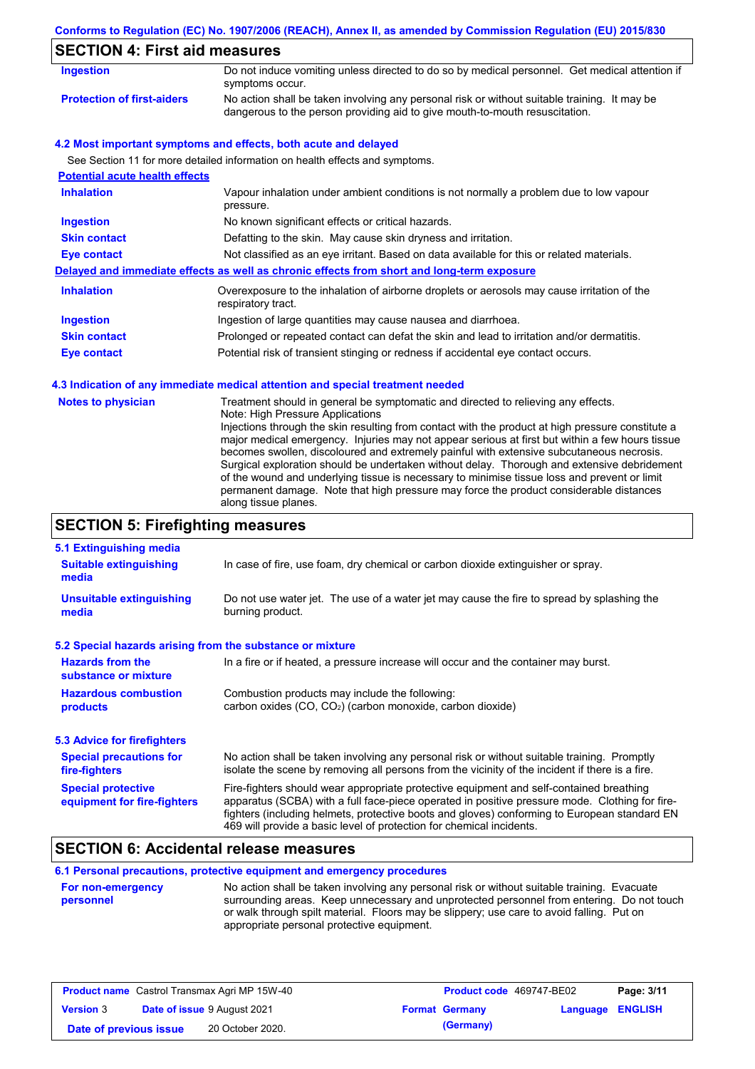### **Conforms to Regulation (EC) No. 1907/2006 (REACH), Annex II, as amended by Commission Regulation (EU) 2015/830**

# **SECTION 4: First aid measures**

| Ingestion                         | Do not induce vomiting unless directed to do so by medical personnel. Get medical attention if<br>symptoms occur.                                                           |
|-----------------------------------|-----------------------------------------------------------------------------------------------------------------------------------------------------------------------------|
| <b>Protection of first-aiders</b> | No action shall be taken involving any personal risk or without suitable training. It may be<br>dangerous to the person providing aid to give mouth-to-mouth resuscitation. |

### **4.2 Most important symptoms and effects, both acute and delayed**

See Section 11 for more detailed information on health effects and symptoms.

| <b>Potential acute health effects</b> |                                                                                                                   |
|---------------------------------------|-------------------------------------------------------------------------------------------------------------------|
| <b>Inhalation</b>                     | Vapour inhalation under ambient conditions is not normally a problem due to low vapour<br>pressure.               |
| <b>Ingestion</b>                      | No known significant effects or critical hazards.                                                                 |
| <b>Skin contact</b>                   | Defatting to the skin. May cause skin dryness and irritation.                                                     |
| Eye contact                           | Not classified as an eye irritant. Based on data available for this or related materials.                         |
|                                       | Delayed and immediate effects as well as chronic effects from short and long-term exposure                        |
| <b>Inhalation</b>                     | Overexposure to the inhalation of airborne droplets or aerosols may cause irritation of the<br>respiratory tract. |
| <b>Ingestion</b>                      | Ingestion of large quantities may cause nausea and diarrhoea.                                                     |
| <b>Skin contact</b>                   | Prolonged or repeated contact can defat the skin and lead to irritation and/or dermatitis.                        |
| Eye contact                           | Potential risk of transient stinging or redness if accidental eye contact occurs.                                 |

### **4.3 Indication of any immediate medical attention and special treatment needed**

| <b>Notes to physician</b> | Treatment should in general be symptomatic and directed to relieving any effects.<br>Note: High Pressure Applications<br>Injections through the skin resulting from contact with the product at high pressure constitute a<br>major medical emergency. Injuries may not appear serious at first but within a few hours tissue<br>becomes swollen, discoloured and extremely painful with extensive subcutaneous necrosis.<br>Surgical exploration should be undertaken without delay. Thorough and extensive debridement<br>of the wound and underlying tissue is necessary to minimise tissue loss and prevent or limit<br>permanent damage. Note that high pressure may force the product considerable distances<br>along tissue planes. |
|---------------------------|--------------------------------------------------------------------------------------------------------------------------------------------------------------------------------------------------------------------------------------------------------------------------------------------------------------------------------------------------------------------------------------------------------------------------------------------------------------------------------------------------------------------------------------------------------------------------------------------------------------------------------------------------------------------------------------------------------------------------------------------|
|---------------------------|--------------------------------------------------------------------------------------------------------------------------------------------------------------------------------------------------------------------------------------------------------------------------------------------------------------------------------------------------------------------------------------------------------------------------------------------------------------------------------------------------------------------------------------------------------------------------------------------------------------------------------------------------------------------------------------------------------------------------------------------|

# **SECTION 5: Firefighting measures**

| 5.1 Extinguishing media                                   |                                                                                                                                                                                                                                                                                                                                                                   |
|-----------------------------------------------------------|-------------------------------------------------------------------------------------------------------------------------------------------------------------------------------------------------------------------------------------------------------------------------------------------------------------------------------------------------------------------|
| <b>Suitable extinguishing</b><br>media                    | In case of fire, use foam, dry chemical or carbon dioxide extinguisher or spray.                                                                                                                                                                                                                                                                                  |
| <b>Unsuitable extinguishing</b><br>media                  | Do not use water jet. The use of a water jet may cause the fire to spread by splashing the<br>burning product.                                                                                                                                                                                                                                                    |
| 5.2 Special hazards arising from the substance or mixture |                                                                                                                                                                                                                                                                                                                                                                   |
| <b>Hazards from the</b><br>substance or mixture           | In a fire or if heated, a pressure increase will occur and the container may burst.                                                                                                                                                                                                                                                                               |
| <b>Hazardous combustion</b><br>products                   | Combustion products may include the following:<br>carbon oxides (CO, CO <sub>2</sub> ) (carbon monoxide, carbon dioxide)                                                                                                                                                                                                                                          |
| 5.3 Advice for firefighters                               |                                                                                                                                                                                                                                                                                                                                                                   |
| <b>Special precautions for</b><br>fire-fighters           | No action shall be taken involving any personal risk or without suitable training. Promptly<br>isolate the scene by removing all persons from the vicinity of the incident if there is a fire.                                                                                                                                                                    |
| <b>Special protective</b><br>equipment for fire-fighters  | Fire-fighters should wear appropriate protective equipment and self-contained breathing<br>apparatus (SCBA) with a full face-piece operated in positive pressure mode. Clothing for fire-<br>fighters (including helmets, protective boots and gloves) conforming to European standard EN<br>469 will provide a basic level of protection for chemical incidents. |

# **SECTION 6: Accidental release measures**

**6.1 Personal precautions, protective equipment and emergency procedures**

| <b>For non-emergency</b> | No action shall be taken involving any personal risk or without suitable training. Evacuate |
|--------------------------|---------------------------------------------------------------------------------------------|
| personnel                | surrounding areas. Keep unnecessary and unprotected personnel from entering. Do not touch   |
|                          | or walk through spilt material. Floors may be slippery; use care to avoid falling. Put on   |
|                          | appropriate personal protective equipment.                                                  |

|                        | <b>Product name</b> Castrol Transmax Agri MP 15W-40 | <b>Product code</b> 469747-BE02 |                  | Page: 3/11 |
|------------------------|-----------------------------------------------------|---------------------------------|------------------|------------|
| <b>Version 3</b>       | <b>Date of issue 9 August 2021</b>                  | <b>Format Germany</b>           | Language ENGLISH |            |
| Date of previous issue | 20 October 2020.                                    | (Germany)                       |                  |            |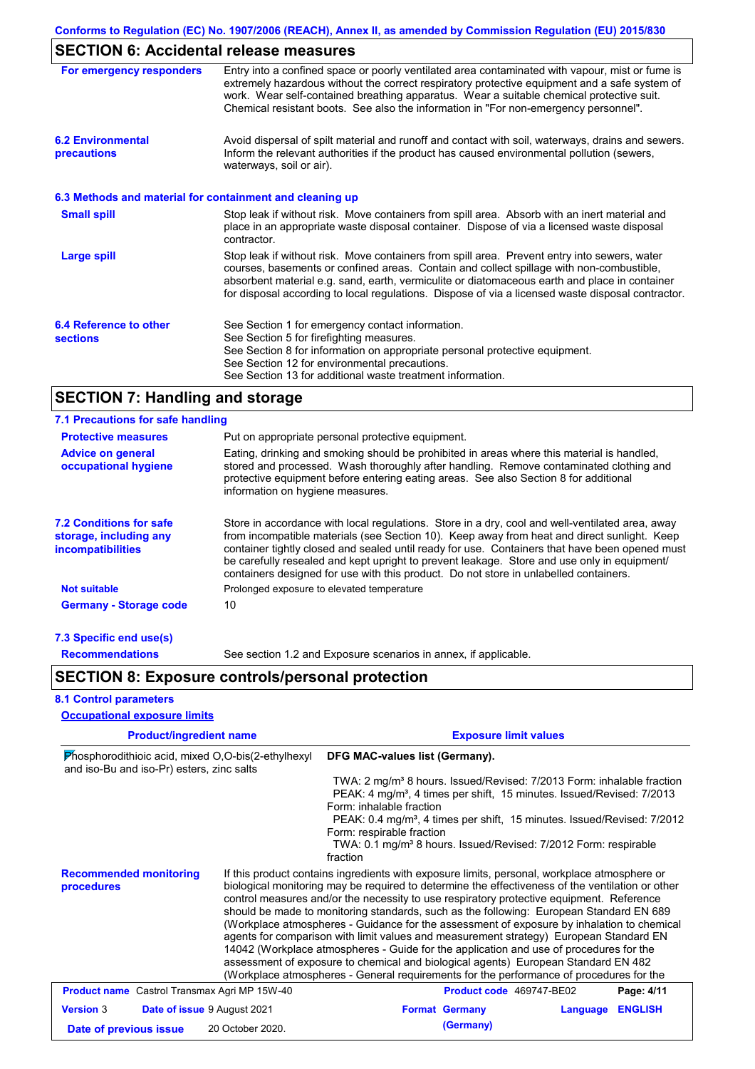# **SECTION 6: Accidental release measures**

| For emergency responders                                 | Entry into a confined space or poorly ventilated area contaminated with vapour, mist or fume is<br>extremely hazardous without the correct respiratory protective equipment and a safe system of<br>work. Wear self-contained breathing apparatus. Wear a suitable chemical protective suit.<br>Chemical resistant boots. See also the information in "For non-emergency personnel".           |
|----------------------------------------------------------|------------------------------------------------------------------------------------------------------------------------------------------------------------------------------------------------------------------------------------------------------------------------------------------------------------------------------------------------------------------------------------------------|
| <b>6.2 Environmental</b><br>precautions                  | Avoid dispersal of spilt material and runoff and contact with soil, waterways, drains and sewers.<br>Inform the relevant authorities if the product has caused environmental pollution (sewers,<br>waterways, soil or air).                                                                                                                                                                    |
| 6.3 Methods and material for containment and cleaning up |                                                                                                                                                                                                                                                                                                                                                                                                |
| <b>Small spill</b>                                       | Stop leak if without risk. Move containers from spill area. Absorb with an inert material and<br>place in an appropriate waste disposal container. Dispose of via a licensed waste disposal<br>contractor.                                                                                                                                                                                     |
| <b>Large spill</b>                                       | Stop leak if without risk. Move containers from spill area. Prevent entry into sewers, water<br>courses, basements or confined areas. Contain and collect spillage with non-combustible,<br>absorbent material e.g. sand, earth, vermiculite or diatomaceous earth and place in container<br>for disposal according to local regulations. Dispose of via a licensed waste disposal contractor. |
| 6.4 Reference to other<br><b>sections</b>                | See Section 1 for emergency contact information.<br>See Section 5 for firefighting measures.<br>See Section 8 for information on appropriate personal protective equipment.<br>See Section 12 for environmental precautions.<br>See Section 13 for additional waste treatment information.                                                                                                     |

# **SECTION 7: Handling and storage**

| 7.1 Precautions for safe handling                                             |                                                                                                                                                                                                                                                                                                                                                                                                                                                                                          |  |  |  |  |
|-------------------------------------------------------------------------------|------------------------------------------------------------------------------------------------------------------------------------------------------------------------------------------------------------------------------------------------------------------------------------------------------------------------------------------------------------------------------------------------------------------------------------------------------------------------------------------|--|--|--|--|
| <b>Protective measures</b>                                                    | Put on appropriate personal protective equipment.                                                                                                                                                                                                                                                                                                                                                                                                                                        |  |  |  |  |
| <b>Advice on general</b><br>occupational hygiene                              | Eating, drinking and smoking should be prohibited in areas where this material is handled,<br>stored and processed. Wash thoroughly after handling. Remove contaminated clothing and<br>protective equipment before entering eating areas. See also Section 8 for additional<br>information on hygiene measures.                                                                                                                                                                         |  |  |  |  |
| <b>7.2 Conditions for safe</b><br>storage, including any<br>incompatibilities | Store in accordance with local regulations. Store in a dry, cool and well-ventilated area, away<br>from incompatible materials (see Section 10). Keep away from heat and direct sunlight. Keep<br>container tightly closed and sealed until ready for use. Containers that have been opened must<br>be carefully resealed and kept upright to prevent leakage. Store and use only in equipment/<br>containers designed for use with this product. Do not store in unlabelled containers. |  |  |  |  |
| <b>Not suitable</b>                                                           | Prolonged exposure to elevated temperature                                                                                                                                                                                                                                                                                                                                                                                                                                               |  |  |  |  |
| <b>Germany - Storage code</b>                                                 | 10                                                                                                                                                                                                                                                                                                                                                                                                                                                                                       |  |  |  |  |
| 7.3 Specific end use(s)                                                       |                                                                                                                                                                                                                                                                                                                                                                                                                                                                                          |  |  |  |  |
|                                                                               |                                                                                                                                                                                                                                                                                                                                                                                                                                                                                          |  |  |  |  |

| <b>Recommendations</b>                                                                                                                                                                                                                                                                                                                                                                                                                                                                                                                                                                                                                                                                                                                                                                                                                                                                                    | See section 1.2 and Exposure scenarios in annex, if applicable. |                                                                                                                                                                                                                                                                                                                                                                                                                   |                          |  |                         |
|-----------------------------------------------------------------------------------------------------------------------------------------------------------------------------------------------------------------------------------------------------------------------------------------------------------------------------------------------------------------------------------------------------------------------------------------------------------------------------------------------------------------------------------------------------------------------------------------------------------------------------------------------------------------------------------------------------------------------------------------------------------------------------------------------------------------------------------------------------------------------------------------------------------|-----------------------------------------------------------------|-------------------------------------------------------------------------------------------------------------------------------------------------------------------------------------------------------------------------------------------------------------------------------------------------------------------------------------------------------------------------------------------------------------------|--------------------------|--|-------------------------|
| <b>SECTION 8: Exposure controls/personal protection</b>                                                                                                                                                                                                                                                                                                                                                                                                                                                                                                                                                                                                                                                                                                                                                                                                                                                   |                                                                 |                                                                                                                                                                                                                                                                                                                                                                                                                   |                          |  |                         |
| <b>8.1 Control parameters</b>                                                                                                                                                                                                                                                                                                                                                                                                                                                                                                                                                                                                                                                                                                                                                                                                                                                                             |                                                                 |                                                                                                                                                                                                                                                                                                                                                                                                                   |                          |  |                         |
| <b>Occupational exposure limits</b>                                                                                                                                                                                                                                                                                                                                                                                                                                                                                                                                                                                                                                                                                                                                                                                                                                                                       |                                                                 |                                                                                                                                                                                                                                                                                                                                                                                                                   |                          |  |                         |
| <b>Product/ingredient name</b>                                                                                                                                                                                                                                                                                                                                                                                                                                                                                                                                                                                                                                                                                                                                                                                                                                                                            |                                                                 | <b>Exposure limit values</b>                                                                                                                                                                                                                                                                                                                                                                                      |                          |  |                         |
| Phosphorodithioic acid, mixed O,O-bis(2-ethylhexyl<br>and iso-Bu and iso-Pr) esters, zinc salts                                                                                                                                                                                                                                                                                                                                                                                                                                                                                                                                                                                                                                                                                                                                                                                                           |                                                                 | DFG MAC-values list (Germany).                                                                                                                                                                                                                                                                                                                                                                                    |                          |  |                         |
|                                                                                                                                                                                                                                                                                                                                                                                                                                                                                                                                                                                                                                                                                                                                                                                                                                                                                                           |                                                                 | TWA: 2 mg/m <sup>3</sup> 8 hours. Issued/Revised: 7/2013 Form: inhalable fraction<br>PEAK: 4 mg/m <sup>3</sup> , 4 times per shift, 15 minutes. Issued/Revised: 7/2013<br>Form: inhalable fraction<br>PEAK: 0.4 mg/m <sup>3</sup> , 4 times per shift, 15 minutes. Issued/Revised: 7/2012<br>Form: respirable fraction<br>TWA: 0.1 mg/m <sup>3</sup> 8 hours. Issued/Revised: 7/2012 Form: respirable<br>fraction |                          |  |                         |
| If this product contains ingredients with exposure limits, personal, workplace atmosphere or<br><b>Recommended monitoring</b><br>biological monitoring may be required to determine the effectiveness of the ventilation or other<br>procedures<br>control measures and/or the necessity to use respiratory protective equipment. Reference<br>should be made to monitoring standards, such as the following: European Standard EN 689<br>(Workplace atmospheres - Guidance for the assessment of exposure by inhalation to chemical<br>agents for comparison with limit values and measurement strategy) European Standard EN<br>14042 (Workplace atmospheres - Guide for the application and use of procedures for the<br>assessment of exposure to chemical and biological agents) European Standard EN 482<br>(Workplace atmospheres - General requirements for the performance of procedures for the |                                                                 |                                                                                                                                                                                                                                                                                                                                                                                                                   |                          |  |                         |
| <b>Product name</b> Castrol Transmax Agri MP 15W-40                                                                                                                                                                                                                                                                                                                                                                                                                                                                                                                                                                                                                                                                                                                                                                                                                                                       |                                                                 |                                                                                                                                                                                                                                                                                                                                                                                                                   | Product code 469747-BE02 |  | Page: 4/11              |
| <b>Version 3</b>                                                                                                                                                                                                                                                                                                                                                                                                                                                                                                                                                                                                                                                                                                                                                                                                                                                                                          | Date of issue 9 August 2021                                     |                                                                                                                                                                                                                                                                                                                                                                                                                   | <b>Format Germany</b>    |  | <b>Language ENGLISH</b> |
| Date of previous issue                                                                                                                                                                                                                                                                                                                                                                                                                                                                                                                                                                                                                                                                                                                                                                                                                                                                                    | 20 October 2020.                                                |                                                                                                                                                                                                                                                                                                                                                                                                                   | (Germany)                |  |                         |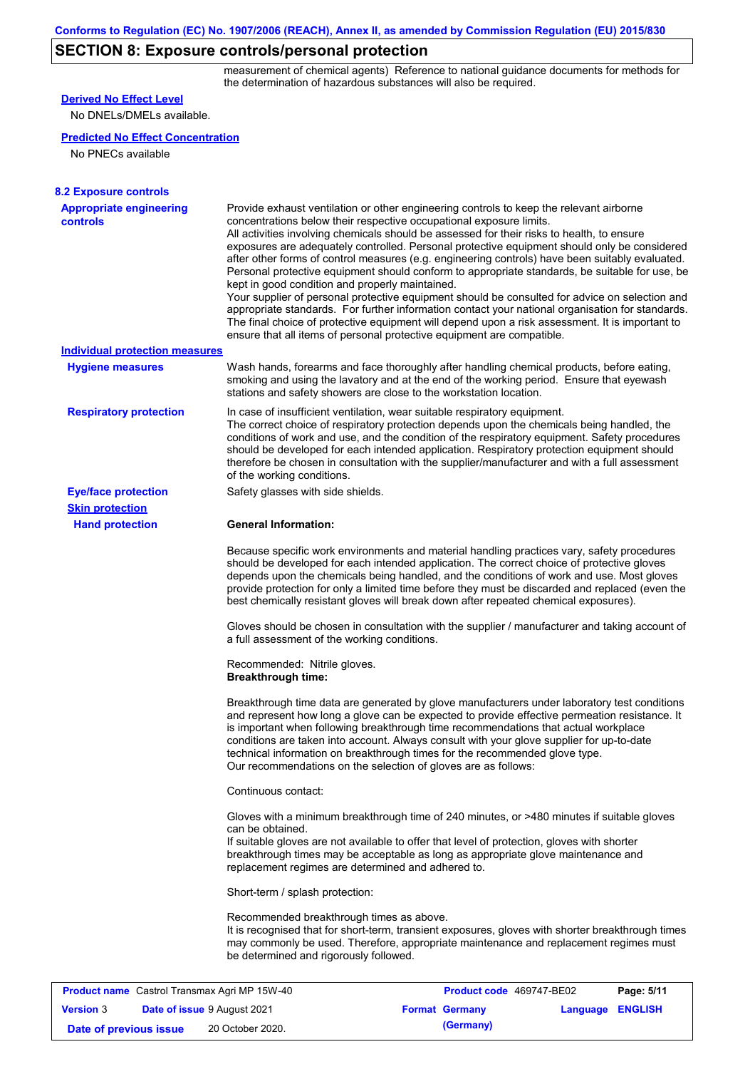# **SECTION 8: Exposure controls/personal protection**

measurement of chemical agents) Reference to national guidance documents for methods for the determination of hazardous substances will also be required.

| <b>Derived No Effect Level</b>                                          |                                                                                                                                                                                                                                                                                                                                                                                                                                                                                                                                                                                                                                                                                                                                                                                                                                                                                                                                                                                                         |                                                   |                  |            |
|-------------------------------------------------------------------------|---------------------------------------------------------------------------------------------------------------------------------------------------------------------------------------------------------------------------------------------------------------------------------------------------------------------------------------------------------------------------------------------------------------------------------------------------------------------------------------------------------------------------------------------------------------------------------------------------------------------------------------------------------------------------------------------------------------------------------------------------------------------------------------------------------------------------------------------------------------------------------------------------------------------------------------------------------------------------------------------------------|---------------------------------------------------|------------------|------------|
| No DNELs/DMELs available.                                               |                                                                                                                                                                                                                                                                                                                                                                                                                                                                                                                                                                                                                                                                                                                                                                                                                                                                                                                                                                                                         |                                                   |                  |            |
| <b>Predicted No Effect Concentration</b>                                |                                                                                                                                                                                                                                                                                                                                                                                                                                                                                                                                                                                                                                                                                                                                                                                                                                                                                                                                                                                                         |                                                   |                  |            |
| No PNECs available                                                      |                                                                                                                                                                                                                                                                                                                                                                                                                                                                                                                                                                                                                                                                                                                                                                                                                                                                                                                                                                                                         |                                                   |                  |            |
|                                                                         |                                                                                                                                                                                                                                                                                                                                                                                                                                                                                                                                                                                                                                                                                                                                                                                                                                                                                                                                                                                                         |                                                   |                  |            |
| <b>8.2 Exposure controls</b>                                            |                                                                                                                                                                                                                                                                                                                                                                                                                                                                                                                                                                                                                                                                                                                                                                                                                                                                                                                                                                                                         |                                                   |                  |            |
| <b>Appropriate engineering</b><br><b>controls</b>                       | Provide exhaust ventilation or other engineering controls to keep the relevant airborne<br>concentrations below their respective occupational exposure limits.<br>All activities involving chemicals should be assessed for their risks to health, to ensure<br>exposures are adequately controlled. Personal protective equipment should only be considered<br>after other forms of control measures (e.g. engineering controls) have been suitably evaluated.<br>Personal protective equipment should conform to appropriate standards, be suitable for use, be<br>kept in good condition and properly maintained.<br>Your supplier of personal protective equipment should be consulted for advice on selection and<br>appropriate standards. For further information contact your national organisation for standards.<br>The final choice of protective equipment will depend upon a risk assessment. It is important to<br>ensure that all items of personal protective equipment are compatible. |                                                   |                  |            |
| <b>Individual protection measures</b>                                   |                                                                                                                                                                                                                                                                                                                                                                                                                                                                                                                                                                                                                                                                                                                                                                                                                                                                                                                                                                                                         |                                                   |                  |            |
| <b>Hygiene measures</b>                                                 | Wash hands, forearms and face thoroughly after handling chemical products, before eating,<br>smoking and using the lavatory and at the end of the working period. Ensure that eyewash<br>stations and safety showers are close to the workstation location.                                                                                                                                                                                                                                                                                                                                                                                                                                                                                                                                                                                                                                                                                                                                             |                                                   |                  |            |
| <b>Respiratory protection</b>                                           | In case of insufficient ventilation, wear suitable respiratory equipment.<br>The correct choice of respiratory protection depends upon the chemicals being handled, the<br>conditions of work and use, and the condition of the respiratory equipment. Safety procedures<br>should be developed for each intended application. Respiratory protection equipment should<br>therefore be chosen in consultation with the supplier/manufacturer and with a full assessment<br>of the working conditions.                                                                                                                                                                                                                                                                                                                                                                                                                                                                                                   |                                                   |                  |            |
| <b>Eye/face protection</b>                                              | Safety glasses with side shields.                                                                                                                                                                                                                                                                                                                                                                                                                                                                                                                                                                                                                                                                                                                                                                                                                                                                                                                                                                       |                                                   |                  |            |
| <b>Skin protection</b>                                                  |                                                                                                                                                                                                                                                                                                                                                                                                                                                                                                                                                                                                                                                                                                                                                                                                                                                                                                                                                                                                         |                                                   |                  |            |
| <b>Hand protection</b>                                                  | <b>General Information:</b>                                                                                                                                                                                                                                                                                                                                                                                                                                                                                                                                                                                                                                                                                                                                                                                                                                                                                                                                                                             |                                                   |                  |            |
|                                                                         | Because specific work environments and material handling practices vary, safety procedures<br>should be developed for each intended application. The correct choice of protective gloves<br>depends upon the chemicals being handled, and the conditions of work and use. Most gloves<br>provide protection for only a limited time before they must be discarded and replaced (even the<br>best chemically resistant gloves will break down after repeated chemical exposures).                                                                                                                                                                                                                                                                                                                                                                                                                                                                                                                        |                                                   |                  |            |
|                                                                         | Gloves should be chosen in consultation with the supplier / manufacturer and taking account of<br>a full assessment of the working conditions.                                                                                                                                                                                                                                                                                                                                                                                                                                                                                                                                                                                                                                                                                                                                                                                                                                                          |                                                   |                  |            |
|                                                                         | Recommended: Nitrile gloves.<br><b>Breakthrough time:</b>                                                                                                                                                                                                                                                                                                                                                                                                                                                                                                                                                                                                                                                                                                                                                                                                                                                                                                                                               |                                                   |                  |            |
|                                                                         | Breakthrough time data are generated by glove manufacturers under laboratory test conditions<br>and represent how long a glove can be expected to provide effective permeation resistance. It<br>is important when following breakthrough time recommendations that actual workplace<br>conditions are taken into account. Always consult with your glove supplier for up-to-date<br>technical information on breakthrough times for the recommended glove type.<br>Our recommendations on the selection of gloves are as follows:                                                                                                                                                                                                                                                                                                                                                                                                                                                                      |                                                   |                  |            |
|                                                                         | Continuous contact:                                                                                                                                                                                                                                                                                                                                                                                                                                                                                                                                                                                                                                                                                                                                                                                                                                                                                                                                                                                     |                                                   |                  |            |
|                                                                         | Gloves with a minimum breakthrough time of 240 minutes, or >480 minutes if suitable gloves<br>can be obtained.<br>If suitable gloves are not available to offer that level of protection, gloves with shorter<br>breakthrough times may be acceptable as long as appropriate glove maintenance and<br>replacement regimes are determined and adhered to.                                                                                                                                                                                                                                                                                                                                                                                                                                                                                                                                                                                                                                                |                                                   |                  |            |
|                                                                         | Short-term / splash protection:                                                                                                                                                                                                                                                                                                                                                                                                                                                                                                                                                                                                                                                                                                                                                                                                                                                                                                                                                                         |                                                   |                  |            |
|                                                                         | Recommended breakthrough times as above.<br>It is recognised that for short-term, transient exposures, gloves with shorter breakthrough times<br>may commonly be used. Therefore, appropriate maintenance and replacement regimes must<br>be determined and rigorously followed.                                                                                                                                                                                                                                                                                                                                                                                                                                                                                                                                                                                                                                                                                                                        |                                                   |                  |            |
|                                                                         |                                                                                                                                                                                                                                                                                                                                                                                                                                                                                                                                                                                                                                                                                                                                                                                                                                                                                                                                                                                                         |                                                   |                  |            |
| <b>Product name</b> Castrol Transmax Agri MP 15W-40<br><b>Version 3</b> | Date of issue 9 August 2021                                                                                                                                                                                                                                                                                                                                                                                                                                                                                                                                                                                                                                                                                                                                                                                                                                                                                                                                                                             | Product code 469747-BE02<br><b>Format Germany</b> | Language ENGLISH | Page: 5/11 |
|                                                                         |                                                                                                                                                                                                                                                                                                                                                                                                                                                                                                                                                                                                                                                                                                                                                                                                                                                                                                                                                                                                         |                                                   |                  |            |

**Date of previous issue (Germany)** 20 October 2020.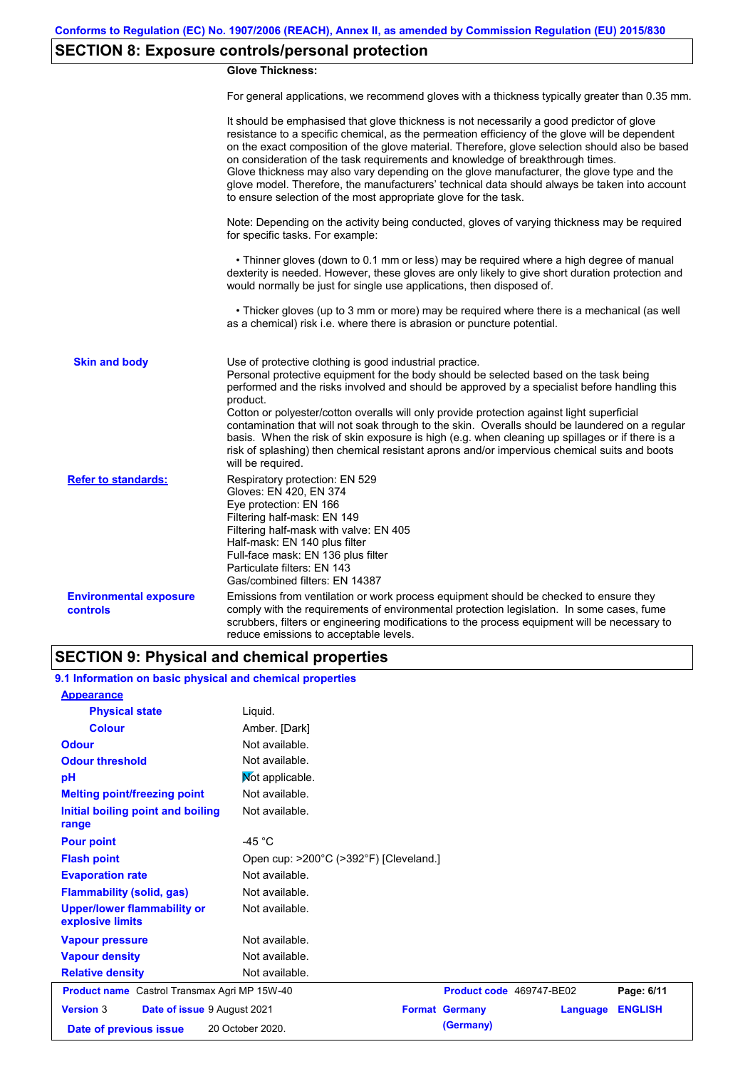# **SECTION 8: Exposure controls/personal protection**

### **Glove Thickness:**

For general applications, we recommend gloves with a thickness typically greater than 0.35 mm.

|                                           | It should be emphasised that glove thickness is not necessarily a good predictor of glove<br>resistance to a specific chemical, as the permeation efficiency of the glove will be dependent<br>on the exact composition of the glove material. Therefore, glove selection should also be based<br>on consideration of the task requirements and knowledge of breakthrough times.<br>Glove thickness may also vary depending on the glove manufacturer, the glove type and the<br>glove model. Therefore, the manufacturers' technical data should always be taken into account<br>to ensure selection of the most appropriate glove for the task.                                     |
|-------------------------------------------|---------------------------------------------------------------------------------------------------------------------------------------------------------------------------------------------------------------------------------------------------------------------------------------------------------------------------------------------------------------------------------------------------------------------------------------------------------------------------------------------------------------------------------------------------------------------------------------------------------------------------------------------------------------------------------------|
|                                           | Note: Depending on the activity being conducted, gloves of varying thickness may be required<br>for specific tasks. For example:                                                                                                                                                                                                                                                                                                                                                                                                                                                                                                                                                      |
|                                           | • Thinner gloves (down to 0.1 mm or less) may be required where a high degree of manual<br>dexterity is needed. However, these gloves are only likely to give short duration protection and<br>would normally be just for single use applications, then disposed of.                                                                                                                                                                                                                                                                                                                                                                                                                  |
|                                           | • Thicker gloves (up to 3 mm or more) may be required where there is a mechanical (as well<br>as a chemical) risk i.e. where there is abrasion or puncture potential.                                                                                                                                                                                                                                                                                                                                                                                                                                                                                                                 |
| <b>Skin and body</b>                      | Use of protective clothing is good industrial practice.<br>Personal protective equipment for the body should be selected based on the task being<br>performed and the risks involved and should be approved by a specialist before handling this<br>product.<br>Cotton or polyester/cotton overalls will only provide protection against light superficial<br>contamination that will not soak through to the skin. Overalls should be laundered on a regular<br>basis. When the risk of skin exposure is high (e.g. when cleaning up spillages or if there is a<br>risk of splashing) then chemical resistant aprons and/or impervious chemical suits and boots<br>will be required. |
| <b>Refer to standards:</b>                | Respiratory protection: EN 529<br>Gloves: EN 420, EN 374<br>Eye protection: EN 166<br>Filtering half-mask: EN 149<br>Filtering half-mask with valve: EN 405<br>Half-mask: EN 140 plus filter<br>Full-face mask: EN 136 plus filter<br>Particulate filters: EN 143<br>Gas/combined filters: EN 14387                                                                                                                                                                                                                                                                                                                                                                                   |
| <b>Environmental exposure</b><br>controls | Emissions from ventilation or work process equipment should be checked to ensure they<br>comply with the requirements of environmental protection legislation. In some cases, fume<br>scrubbers, filters or engineering modifications to the process equipment will be necessary to<br>reduce emissions to acceptable levels.                                                                                                                                                                                                                                                                                                                                                         |

### **SECTION 9: Physical and chemical properties**

| 9.1 Information on basic physical and chemical properties |                                        |                       |                          |                |
|-----------------------------------------------------------|----------------------------------------|-----------------------|--------------------------|----------------|
| <b>Appearance</b>                                         |                                        |                       |                          |                |
| <b>Physical state</b>                                     | Liquid.                                |                       |                          |                |
| <b>Colour</b>                                             | Amber. [Dark]                          |                       |                          |                |
| <b>Odour</b>                                              | Not available.                         |                       |                          |                |
| <b>Odour threshold</b>                                    | Not available.                         |                       |                          |                |
| pH                                                        | Mot applicable.                        |                       |                          |                |
| <b>Melting point/freezing point</b>                       | Not available.                         |                       |                          |                |
| Initial boiling point and boiling<br>range                | Not available.                         |                       |                          |                |
| <b>Pour point</b>                                         | -45 $^{\circ}$ C                       |                       |                          |                |
| <b>Flash point</b>                                        | Open cup: >200°C (>392°F) [Cleveland.] |                       |                          |                |
| <b>Evaporation rate</b>                                   | Not available.                         |                       |                          |                |
| <b>Flammability (solid, gas)</b>                          | Not available.                         |                       |                          |                |
| <b>Upper/lower flammability or</b><br>explosive limits    | Not available.                         |                       |                          |                |
| <b>Vapour pressure</b>                                    | Not available.                         |                       |                          |                |
| <b>Vapour density</b>                                     | Not available.                         |                       |                          |                |
| <b>Relative density</b>                                   | Not available.                         |                       |                          |                |
| <b>Product name</b> Castrol Transmax Agri MP 15W-40       |                                        |                       | Product code 469747-BE02 | Page: 6/11     |
| <b>Version 3</b><br>Date of issue 9 August 2021           |                                        | <b>Format Germany</b> | Language                 | <b>ENGLISH</b> |
| Date of previous issue                                    | 20 October 2020.                       | (Germany)             |                          |                |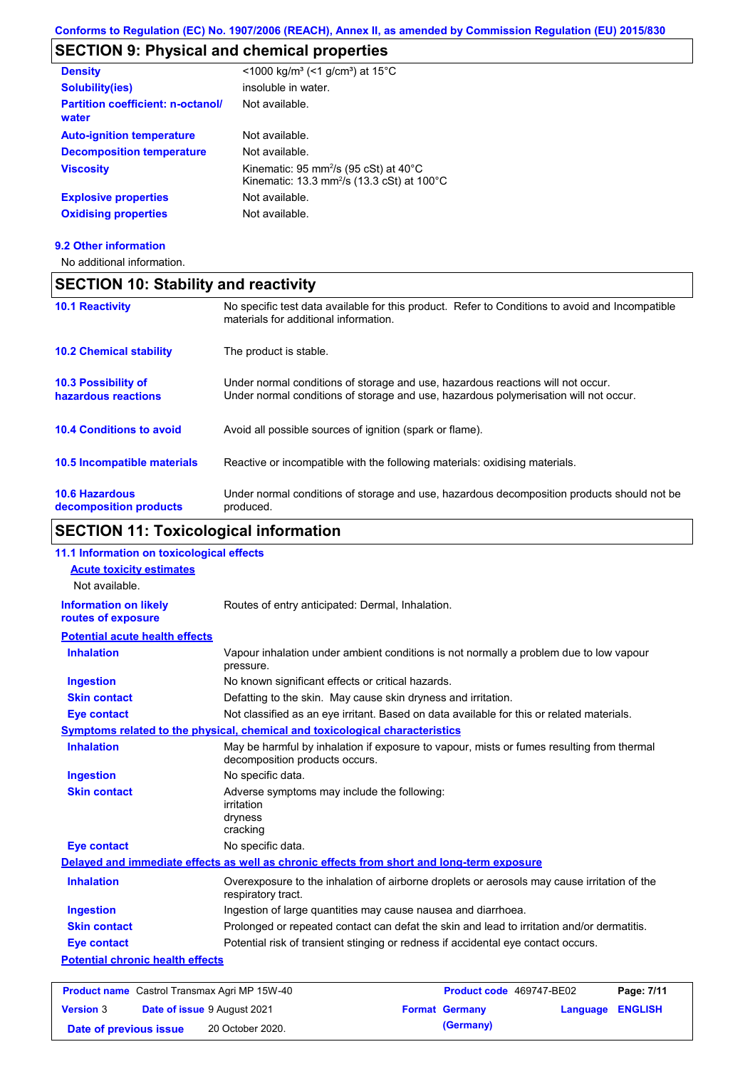# **SECTION 9: Physical and chemical properties**

| <b>Density</b>                                    | $\leq$ 1000 kg/m <sup>3</sup> (<1 g/cm <sup>3</sup> ) at 15 <sup>°</sup> C                                            |
|---------------------------------------------------|-----------------------------------------------------------------------------------------------------------------------|
| <b>Solubility(ies)</b>                            | insoluble in water.                                                                                                   |
| <b>Partition coefficient: n-octanol/</b><br>water | Not available.                                                                                                        |
| <b>Auto-ignition temperature</b>                  | Not available.                                                                                                        |
| <b>Decomposition temperature</b>                  | Not available.                                                                                                        |
| <b>Viscosity</b>                                  | Kinematic: 95 mm <sup>2</sup> /s (95 cSt) at $40^{\circ}$ C<br>Kinematic: 13.3 mm <sup>2</sup> /s (13.3 cSt) at 100°C |
| <b>Explosive properties</b>                       | Not available.                                                                                                        |
| <b>Oxidising properties</b>                       | Not available.                                                                                                        |
|                                                   |                                                                                                                       |

### **9.2 Other information**

No additional information.

| <b>SECTION 10: Stability and reactivity</b> |                                                                                  |  |
|---------------------------------------------|----------------------------------------------------------------------------------|--|
| <b>10.1 Reactivity</b>                      | No specific test data available for this<br>materiale for additional information |  |

|                                                 | malonais ioi auunivilai illioimation.                                                                                                                                   |
|-------------------------------------------------|-------------------------------------------------------------------------------------------------------------------------------------------------------------------------|
| <b>10.2 Chemical stability</b>                  | The product is stable.                                                                                                                                                  |
| 10.3 Possibility of<br>hazardous reactions      | Under normal conditions of storage and use, hazardous reactions will not occur.<br>Under normal conditions of storage and use, hazardous polymerisation will not occur. |
| <b>10.4 Conditions to avoid</b>                 | Avoid all possible sources of ignition (spark or flame).                                                                                                                |
| 10.5 Incompatible materials                     | Reactive or incompatible with the following materials: oxidising materials.                                                                                             |
| <b>10.6 Hazardous</b><br>decomposition products | Under normal conditions of storage and use, hazardous decomposition products should not be<br>produced.                                                                 |

product. Refer to Conditions to avoid and Incompatible

# **SECTION 11: Toxicological information**

| 11.1 Information on toxicological effects           |                                                                                                                             |                          |            |
|-----------------------------------------------------|-----------------------------------------------------------------------------------------------------------------------------|--------------------------|------------|
| <b>Acute toxicity estimates</b>                     |                                                                                                                             |                          |            |
| Not available.                                      |                                                                                                                             |                          |            |
| <b>Information on likely</b><br>routes of exposure  | Routes of entry anticipated: Dermal, Inhalation.                                                                            |                          |            |
| <b>Potential acute health effects</b>               |                                                                                                                             |                          |            |
| <b>Inhalation</b>                                   | Vapour inhalation under ambient conditions is not normally a problem due to low vapour<br>pressure.                         |                          |            |
| <b>Ingestion</b>                                    | No known significant effects or critical hazards.                                                                           |                          |            |
| <b>Skin contact</b>                                 | Defatting to the skin. May cause skin dryness and irritation.                                                               |                          |            |
| <b>Eye contact</b>                                  | Not classified as an eye irritant. Based on data available for this or related materials.                                   |                          |            |
|                                                     | Symptoms related to the physical, chemical and toxicological characteristics                                                |                          |            |
| <b>Inhalation</b>                                   | May be harmful by inhalation if exposure to vapour, mists or fumes resulting from thermal<br>decomposition products occurs. |                          |            |
| <b>Ingestion</b>                                    | No specific data.                                                                                                           |                          |            |
| <b>Skin contact</b>                                 | Adverse symptoms may include the following:<br>irritation<br>dryness<br>cracking                                            |                          |            |
| <b>Eye contact</b>                                  | No specific data.                                                                                                           |                          |            |
|                                                     | Delayed and immediate effects as well as chronic effects from short and long-term exposure                                  |                          |            |
| <b>Inhalation</b>                                   | Overexposure to the inhalation of airborne droplets or aerosols may cause irritation of the<br>respiratory tract.           |                          |            |
| <b>Ingestion</b>                                    | Ingestion of large quantities may cause nausea and diarrhoea.                                                               |                          |            |
| <b>Skin contact</b>                                 | Prolonged or repeated contact can defat the skin and lead to irritation and/or dermatitis.                                  |                          |            |
| <b>Eye contact</b>                                  | Potential risk of transient stinging or redness if accidental eye contact occurs.                                           |                          |            |
| <b>Potential chronic health effects</b>             |                                                                                                                             |                          |            |
|                                                     |                                                                                                                             |                          |            |
| <b>Product name</b> Castrol Transmax Agri MP 15W-40 |                                                                                                                             | Product code 469747-BE02 | Page: 7/11 |

| <b>Version 3</b>       | Date of issue 9 August 2021 | <b>Format Germany</b> | <b>Language ENGLISH</b> |  |
|------------------------|-----------------------------|-----------------------|-------------------------|--|
| Date of previous issue | 20 October 2020.            | (Germany)             |                         |  |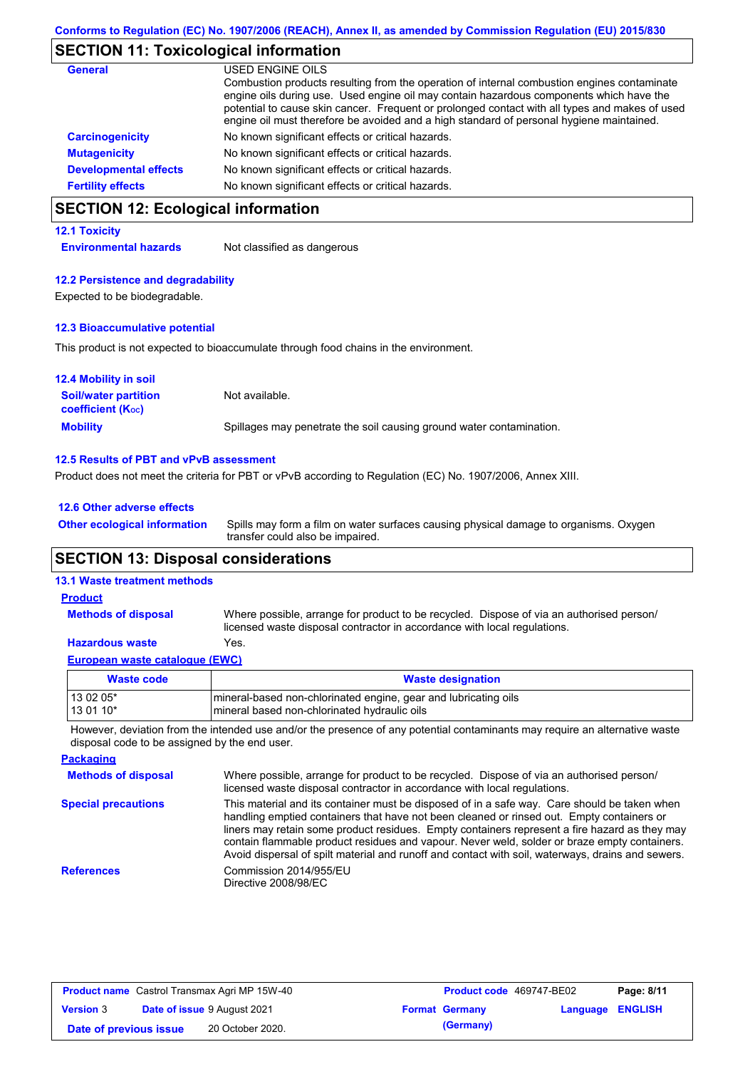### **SECTION 11: Toxicological information**

| <b>General</b>               | USED ENGINE OILS<br>Combustion products resulting from the operation of internal combustion engines contaminate<br>engine oils during use. Used engine oil may contain hazardous components which have the<br>potential to cause skin cancer. Frequent or prolonged contact with all types and makes of used<br>engine oil must therefore be avoided and a high standard of personal hygiene maintained. |
|------------------------------|----------------------------------------------------------------------------------------------------------------------------------------------------------------------------------------------------------------------------------------------------------------------------------------------------------------------------------------------------------------------------------------------------------|
| <b>Carcinogenicity</b>       | No known significant effects or critical hazards.                                                                                                                                                                                                                                                                                                                                                        |
| <b>Mutagenicity</b>          | No known significant effects or critical hazards.                                                                                                                                                                                                                                                                                                                                                        |
| <b>Developmental effects</b> | No known significant effects or critical hazards.                                                                                                                                                                                                                                                                                                                                                        |
| <b>Fertility effects</b>     | No known significant effects or critical hazards.                                                                                                                                                                                                                                                                                                                                                        |

# **SECTION 12: Ecological information**

### **12.1 Toxicity**

**Environmental hazards** Not classified as dangerous

#### **12.2 Persistence and degradability**

Expected to be biodegradable.

#### **12.3 Bioaccumulative potential**

This product is not expected to bioaccumulate through food chains in the environment.

| <b>12.4 Mobility in soil</b>                            |                                                                      |
|---------------------------------------------------------|----------------------------------------------------------------------|
| <b>Soil/water partition</b><br><b>coefficient (Koc)</b> | Not available.                                                       |
| <b>Mobility</b>                                         | Spillages may penetrate the soil causing ground water contamination. |

#### **12.5 Results of PBT and vPvB assessment**

Product does not meet the criteria for PBT or vPvB according to Regulation (EC) No. 1907/2006, Annex XIII.

| 12.6 Other adverse effects          |    |
|-------------------------------------|----|
| <b>Other ecological information</b> | Sp |

Spills may form a film on water surfaces causing physical damage to organisms. Oxygen transfer could also be impaired.

### **SECTION 13: Disposal considerations**

#### **13.1 Waste treatment methods**

**Methods of disposal Product**

Where possible, arrange for product to be recycled. Dispose of via an authorised person/ licensed waste disposal contractor in accordance with local regulations.

### **Hazardous waste** Yes.

|  |  |  | European waste catalogue (EWC) |  |  |
|--|--|--|--------------------------------|--|--|
|--|--|--|--------------------------------|--|--|

| Waste code | <b>Waste designation</b>                                        |
|------------|-----------------------------------------------------------------|
| 13 02 05*  | mineral-based non-chlorinated engine, gear and lubricating oils |
| $130110*$  | Imineral based non-chlorinated hydraulic oils                   |

However, deviation from the intended use and/or the presence of any potential contaminants may require an alternative waste disposal code to be assigned by the end user.

| <b>Packaging</b>           |                                                                                                                                                                                                                                                                                                                                                                                                                                                                                                 |
|----------------------------|-------------------------------------------------------------------------------------------------------------------------------------------------------------------------------------------------------------------------------------------------------------------------------------------------------------------------------------------------------------------------------------------------------------------------------------------------------------------------------------------------|
| <b>Methods of disposal</b> | Where possible, arrange for product to be recycled. Dispose of via an authorised person/<br>licensed waste disposal contractor in accordance with local regulations.                                                                                                                                                                                                                                                                                                                            |
| <b>Special precautions</b> | This material and its container must be disposed of in a safe way. Care should be taken when<br>handling emptied containers that have not been cleaned or rinsed out. Empty containers or<br>liners may retain some product residues. Empty containers represent a fire hazard as they may<br>contain flammable product residues and vapour. Never weld, solder or braze empty containers.<br>Avoid dispersal of spilt material and runoff and contact with soil, waterways, drains and sewers. |
| <b>References</b>          | Commission 2014/955/EU<br>Directive 2008/98/EC                                                                                                                                                                                                                                                                                                                                                                                                                                                  |

| <b>Product name</b> Castrol Transmax Agri MP 15W-40 |  | <b>Product code</b> 469747-BE02    |  | Page: 8/11            |                         |  |
|-----------------------------------------------------|--|------------------------------------|--|-----------------------|-------------------------|--|
| <b>Version 3</b>                                    |  | <b>Date of issue 9 August 2021</b> |  | <b>Format Germany</b> | <b>Language ENGLISH</b> |  |
| Date of previous issue                              |  | 20 October 2020.                   |  | (Germany)             |                         |  |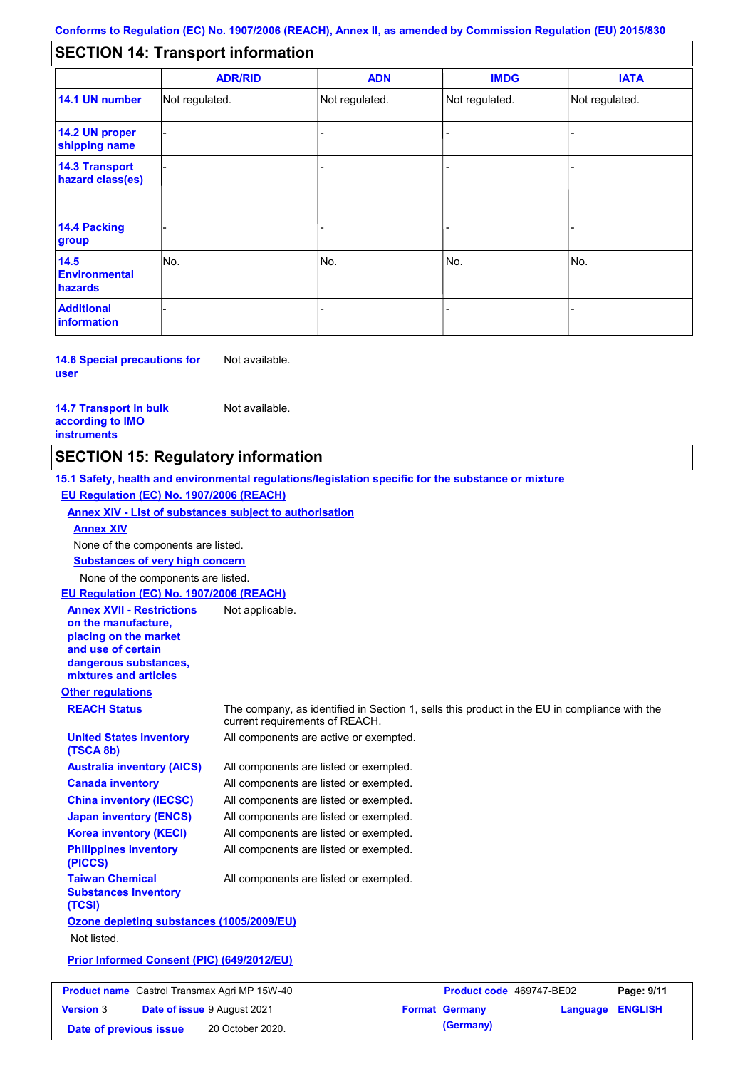#### - - - - - - - - - Not regulated. Not regulated. Not regulated. - - - **SECTION 14: Transport information ADR/RID IMDG IATA 14.1 UN number 14.2 UN proper shipping name 14.3 Transport hazard class(es) 14.4 Packing group ADN Additional information 14.5 Environmental hazards** No. 1988 | No. 1989 | No. 1989 | No. 1989 | No. 1989 | No. 1989 | No. 1989 | No. 1989 | No. 1989 | No. 1989 | Not regulated. - -<br>No. - -

**14.6 Special precautions for user** Not available.

#### **14.7 Transport in bulk according to IMO instruments**

Not available.

### **SECTION 15: Regulatory information**

**Other regulations REACH Status** The company, as identified in Section 1, sells this product in the EU in compliance with the current requirements of REACH. **15.1 Safety, health and environmental regulations/legislation specific for the substance or mixture EU Regulation (EC) No. 1907/2006 (REACH) Annex XIV - List of substances subject to authorisation Substances of very high concern** None of the components are listed. All components are listed or exempted. All components are listed or exempted. All components are listed or exempted. All components are listed or exempted. All components are active or exempted. All components are listed or exempted. All components are listed or exempted. **United States inventory (TSCA 8b) Australia inventory (AICS) Canada inventory China inventory (IECSC) Japan inventory (ENCS) Korea inventory (KECI) Philippines inventory (PICCS) Taiwan Chemical Substances Inventory (TCSI)** All components are listed or exempted. **Ozone depleting substances (1005/2009/EU)** Not listed. **Prior Informed Consent (PIC) (649/2012/EU)** None of the components are listed. **Annex XIV EU Regulation (EC) No. 1907/2006 (REACH) Annex XVII - Restrictions on the manufacture, placing on the market and use of certain dangerous substances, mixtures and articles** Not applicable. **Product name** Castrol Transmax Agri MP 15W-40 **Product Code** 469747-BE02 **Page: 9/11 Version** 3 **Date of issue** 9 August 2021 **Format Germany Language ENGLISH**

**Date of previous issue 20 October 2020. (Germany) (Germany)**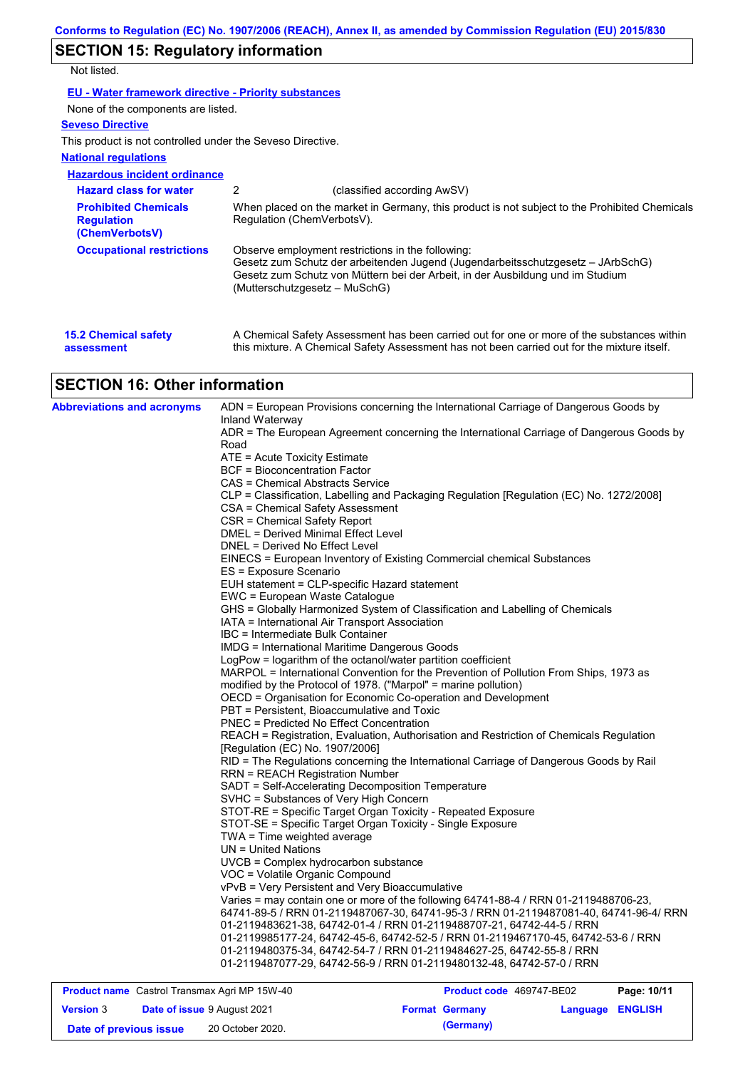# **SECTION 15: Regulatory information**

Not listed.

| <b>EU - Water framework directive - Priority substances</b> |
|-------------------------------------------------------------|
|-------------------------------------------------------------|

None of the components are listed.

### **Seveso Directive**

This product is not controlled under the Seveso Directive.

### **National regulations**

| <b>Hazardous incident ordinance</b>                                |                               |                                                                                                                                                                                                                        |
|--------------------------------------------------------------------|-------------------------------|------------------------------------------------------------------------------------------------------------------------------------------------------------------------------------------------------------------------|
| <b>Hazard class for water</b>                                      | 2                             | (classified according AwSV)                                                                                                                                                                                            |
| <b>Prohibited Chemicals</b><br><b>Regulation</b><br>(ChemVerbotsV) | Regulation (ChemVerbotsV).    | When placed on the market in Germany, this product is not subject to the Prohibited Chemicals                                                                                                                          |
| <b>Occupational restrictions</b>                                   | (Mutterschutzgesetz – MuSchG) | Observe employment restrictions in the following:<br>Gesetz zum Schutz der arbeitenden Jugend (Jugendarbeitsschutzgesetz – JArbSchG)<br>Gesetz zum Schutz von Müttern bei der Arbeit, in der Ausbildung und im Studium |
| <b>15.2 Chemical safety</b><br>assessment                          |                               | A Chemical Safety Assessment has been carried out for one or more of the substances within<br>this mixture. A Chemical Safety Assessment has not been carried out for the mixture itself.                              |

# **SECTION 16: Other information**

| <b>Abbreviations and acronyms</b> | ADN = European Provisions concerning the International Carriage of Dangerous Goods by<br>Inland Waterway<br>ADR = The European Agreement concerning the International Carriage of Dangerous Goods by<br>Road<br>ATE = Acute Toxicity Estimate |
|-----------------------------------|-----------------------------------------------------------------------------------------------------------------------------------------------------------------------------------------------------------------------------------------------|
|                                   | <b>BCF</b> = Bioconcentration Factor                                                                                                                                                                                                          |
|                                   | CAS = Chemical Abstracts Service                                                                                                                                                                                                              |
|                                   | CLP = Classification, Labelling and Packaging Regulation [Regulation (EC) No. 1272/2008]                                                                                                                                                      |
|                                   | CSA = Chemical Safety Assessment                                                                                                                                                                                                              |
|                                   | CSR = Chemical Safety Report                                                                                                                                                                                                                  |
|                                   | DMEL = Derived Minimal Effect Level                                                                                                                                                                                                           |
|                                   | DNEL = Derived No Effect Level                                                                                                                                                                                                                |
|                                   | EINECS = European Inventory of Existing Commercial chemical Substances                                                                                                                                                                        |
|                                   | ES = Exposure Scenario                                                                                                                                                                                                                        |
|                                   | EUH statement = CLP-specific Hazard statement                                                                                                                                                                                                 |
|                                   | EWC = European Waste Catalogue                                                                                                                                                                                                                |
|                                   | GHS = Globally Harmonized System of Classification and Labelling of Chemicals                                                                                                                                                                 |
|                                   | IATA = International Air Transport Association                                                                                                                                                                                                |
|                                   | IBC = Intermediate Bulk Container                                                                                                                                                                                                             |
|                                   | IMDG = International Maritime Dangerous Goods                                                                                                                                                                                                 |
|                                   | LogPow = logarithm of the octanol/water partition coefficient                                                                                                                                                                                 |
|                                   | MARPOL = International Convention for the Prevention of Pollution From Ships, 1973 as                                                                                                                                                         |
|                                   | modified by the Protocol of 1978. ("Marpol" = marine pollution)                                                                                                                                                                               |
|                                   | OECD = Organisation for Economic Co-operation and Development<br>PBT = Persistent, Bioaccumulative and Toxic                                                                                                                                  |
|                                   | PNEC = Predicted No Effect Concentration                                                                                                                                                                                                      |
|                                   | REACH = Registration, Evaluation, Authorisation and Restriction of Chemicals Regulation                                                                                                                                                       |
|                                   | [Regulation (EC) No. 1907/2006]                                                                                                                                                                                                               |
|                                   | RID = The Regulations concerning the International Carriage of Dangerous Goods by Rail                                                                                                                                                        |
|                                   | <b>RRN = REACH Registration Number</b>                                                                                                                                                                                                        |
|                                   | SADT = Self-Accelerating Decomposition Temperature                                                                                                                                                                                            |
|                                   | SVHC = Substances of Very High Concern                                                                                                                                                                                                        |
|                                   | STOT-RE = Specific Target Organ Toxicity - Repeated Exposure                                                                                                                                                                                  |
|                                   | STOT-SE = Specific Target Organ Toxicity - Single Exposure                                                                                                                                                                                    |
|                                   | TWA = Time weighted average                                                                                                                                                                                                                   |
|                                   | $UN = United Nations$                                                                                                                                                                                                                         |
|                                   | UVCB = Complex hydrocarbon substance                                                                                                                                                                                                          |
|                                   | VOC = Volatile Organic Compound                                                                                                                                                                                                               |
|                                   | vPvB = Very Persistent and Very Bioaccumulative                                                                                                                                                                                               |
|                                   | Varies = may contain one or more of the following 64741-88-4 / RRN 01-2119488706-23,                                                                                                                                                          |
|                                   | 64741-89-5 / RRN 01-2119487067-30, 64741-95-3 / RRN 01-2119487081-40, 64741-96-4/ RRN                                                                                                                                                         |
|                                   | 01-2119483621-38, 64742-01-4 / RRN 01-2119488707-21, 64742-44-5 / RRN                                                                                                                                                                         |
|                                   | 01-2119985177-24, 64742-45-6, 64742-52-5 / RRN 01-2119467170-45, 64742-53-6 / RRN                                                                                                                                                             |
|                                   | 01-2119480375-34, 64742-54-7 / RRN 01-2119484627-25, 64742-55-8 / RRN<br>01-2119487077-29, 64742-56-9 / RRN 01-2119480132-48, 64742-57-0 / RRN                                                                                                |
|                                   |                                                                                                                                                                                                                                               |
|                                   |                                                                                                                                                                                                                                               |

| <b>Product name</b> Castrol Transmax Agri MP 15W-40 |  |                                    | <b>Product code</b> 469747-BE02 |                       | Page: 10/11      |  |
|-----------------------------------------------------|--|------------------------------------|---------------------------------|-----------------------|------------------|--|
| <b>Version 3</b>                                    |  | <b>Date of issue 9 August 2021</b> |                                 | <b>Format Germany</b> | Language ENGLISH |  |
| Date of previous issue                              |  | 20 October 2020.                   |                                 | (Germany)             |                  |  |